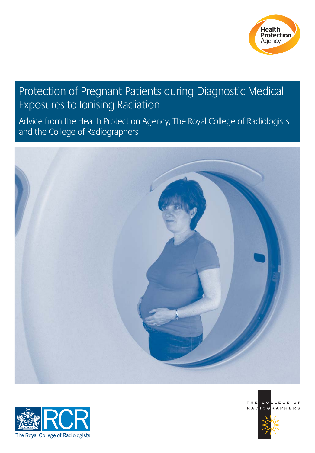

## Protection of Pregnant Patients during Diagnostic Medical Exposures to Ionising Radiation

Advice from the Health Protection Agency, The Royal College of Radiologists and the College of Radiographers







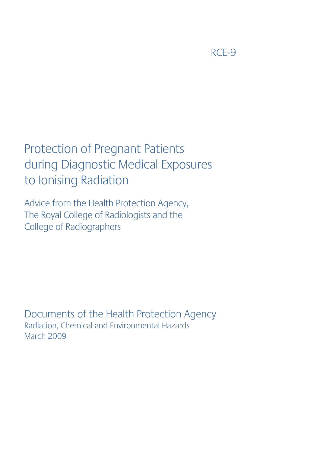RCE-9

# Protection of Pregnant Patients during Diagnostic Medical Exposures to Ionising Radiation

Advice from the Health Protection Agency, The Royal College of Radiologists and the College of Radiographers

Documents of the Health Protection Agency Radiation, Chemical and Environmental Hazards March 2009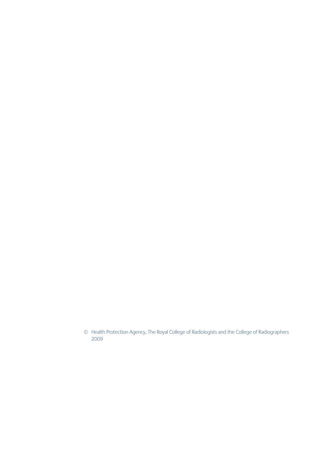© Health Protection Agency, The Royal College of Radiologists and the College of Radiographers 2009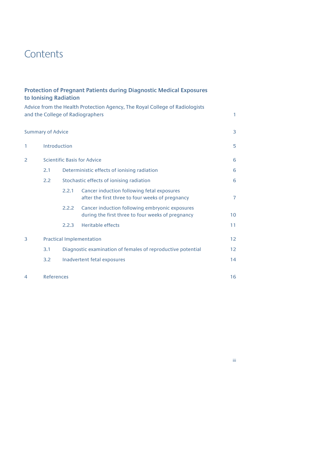## **Contents**

|              |                                    | to Ionising Radiation                                       | <b>Protection of Pregnant Patients during Diagnostic Medical Exposures</b>                                      |              |  |
|--------------|------------------------------------|-------------------------------------------------------------|-----------------------------------------------------------------------------------------------------------------|--------------|--|
|              |                                    |                                                             | Advice from the Health Protection Agency, The Royal College of Radiologists<br>and the College of Radiographers | $\mathbf{1}$ |  |
|              | <b>Summary of Advice</b>           |                                                             |                                                                                                                 | 3            |  |
| $\mathbf{1}$ |                                    | Introduction                                                |                                                                                                                 |              |  |
| 2            | <b>Scientific Basis for Advice</b> |                                                             |                                                                                                                 | 6            |  |
|              | 2.1                                | Deterministic effects of ionising radiation                 |                                                                                                                 |              |  |
|              | 2.2                                |                                                             | Stochastic effects of ionising radiation                                                                        |              |  |
|              |                                    | 2.2.1                                                       | Cancer induction following fetal exposures<br>after the first three to four weeks of pregnancy                  | 7            |  |
|              |                                    | 2.2.2                                                       | Cancer induction following embryonic exposures<br>during the first three to four weeks of pregnancy             | 10           |  |
|              |                                    | 2.2.3                                                       | <b>Heritable effects</b>                                                                                        | 11           |  |
| 3            | <b>Practical Implementation</b>    |                                                             |                                                                                                                 |              |  |
|              | 3.1                                | Diagnostic examination of females of reproductive potential |                                                                                                                 |              |  |
|              | 3.2                                | Inadvertent fetal exposures                                 |                                                                                                                 |              |  |
| 4            | <b>References</b>                  |                                                             |                                                                                                                 | 16           |  |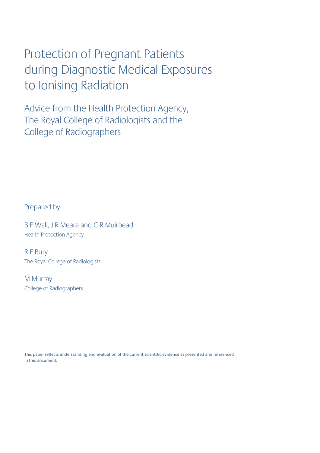# Protection of Pregnant Patients during Diagnostic Medical Exposures to Ionising Radiation

Advice from the Health Protection Agency, The Royal College of Radiologists and the College of Radiographers

Prepared by

B F Wall, J R Meara and C R Muirhead Health Protection Agency

R F Bury The Royal College of Radiologists

M Murray College of Radiographers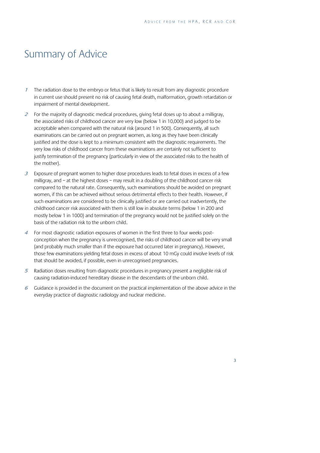## Summary of Advice

- <sup>1</sup> The radiation dose to the embryo or fetus that is likely to result from any diagnostic procedure in current use should present no risk of causing fetal death, malformation, growth retardation or impairment of mental development.
- $2<sup>2</sup>$  For the majority of diagnostic medical procedures, giving fetal doses up to about a milligray, the associated risks of childhood cancer are very low (below 1 in 10,000) and judged to be acceptable when compared with the natural risk (around 1 in 500). Consequently, all such examinations can be carried out on pregnant women, as long as they have been clinically justified and the dose is kept to a minimum consistent with the diagnostic requirements. The very low risks of childhood cancer from these examinations are certainly not sufficient to justify termination of the pregnancy (particularly in view of the associated risks to the health of the mother).
- $3$  Exposure of pregnant women to higher dose procedures leads to fetal doses in excess of a few milligray, and – at the highest doses – may result in a doubling of the childhood cancer risk compared to the natural rate. Consequently, such examinations should be avoided on pregnant women, if this can be achieved without serious detrimental effects to their health. However, if such examinations are considered to be clinically justified or are carried out inadvertently, the childhood cancer risk associated with them is still low in absolute terms (below 1 in 200 and mostly below 1 in 1000) and termination of the pregnancy would not be justified solely on the basis of the radiation risk to the unborn child.
- 4 For most diagnostic radiation exposures of women in the first three to four weeks postconception when the pregnancy is unrecognised, the risks of childhood cancer will be very small (and probably much smaller than if the exposure had occurred later in pregnancy). However, those few examinations yielding fetal doses in excess of about 10 mGy could involve levels of risk that should be avoided, if possible, even in unrecognised pregnancies.
- <sup>5</sup> Radiation doses resulting from diagnostic procedures in pregnancy present a negligible risk of causing radiation-induced hereditary disease in the descendants of the unborn child.
- $6$  Guidance is provided in the document on the practical implementation of the above advice in the everyday practice of diagnostic radiology and nuclear medicine.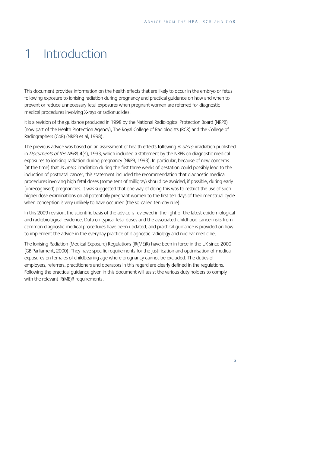## 1 Introduction

This document provides information on the health effects that are likely to occur in the embryo or fetus following exposure to ionising radiation during pregnancy and practical guidance on how and when to prevent or reduce unnecessary fetal exposures when pregnant women are referred for diagnostic medical procedures involving X-rays or radionuclides.

It is a revision of the guidance produced in 1998 by the National Radiological Protection Board (NRPB) (now part of the Health Protection Agency), The Royal College of Radiologists (RCR) and the College of Radiographers (CoR) (NRPB et al, 1998).

The previous advice was based on an assessment of health effects following in utero irradiation published in Documents of the NRPB, **4**(4), 1993, which included a statement by the NRPB on diagnostic medical exposures to ionising radiation during pregnancy (NRPB, 1993). In particular, because of new concerns (at the time) that in utero irradiation during the first three weeks of gestation could possibly lead to the induction of postnatal cancer, this statement included the recommendation that diagnostic medical procedures involving high fetal doses (some tens of milligray) should be avoided, if possible, during early (unrecognised) pregnancies. It was suggested that one way of doing this was to restrict the use of such higher dose examinations on all potentially pregnant women to the first ten days of their menstrual cycle when conception is very unlikely to have occurred (the so-called ten-day rule).

In this 2009 revision, the scientific basis of the advice is reviewed in the light of the latest epidemiological and radiobiological evidence. Data on typical fetal doses and the associated childhood cancer risks from common diagnostic medical procedures have been updated, and practical guidance is provided on how to implement the advice in the everyday practice of diagnostic radiology and nuclear medicine.

The Ionising Radiation (Medical Exposure) Regulations (IR(ME)R) have been in force in the UK since 2000 (GB Parliament, 2000). They have specific requirements for the justification and optimisation of medical exposures on females of childbearing age where pregnancy cannot be excluded. The duties of employers, referrers, practitioners and operators in this regard are clearly defined in the regulations. Following the practical guidance given in this document will assist the various duty holders to comply with the relevant IR(ME)R requirements.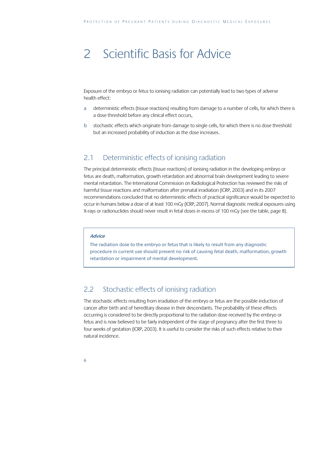## 2 Scientific Basis for Advice

Exposure of the embryo or fetus to ionising radiation can potentially lead to two types of adverse health effect:

- a deterministic effects (tissue reactions) resulting from damage to a number of cells, for which there is a dose threshold before any clinical effect occurs,
- b stochastic effects which originate from damage to single cells, for which there is no dose threshold but an increased probability of induction as the dose increases.

### 2.1 Deterministic effects of ionising radiation

The principal deterministic effects (tissue reactions) of ionising radiation in the developing embryo or fetus are death, malformation, growth retardation and abnormal brain development leading to severe mental retardation. The International Commission on Radiological Protection has reviewed the risks of harmful tissue reactions and malformation after prenatal irradiation (ICRP, 2003) and in its 2007 recommendations concluded that no deterministic effects of practical significance would be expected to occur in humans below a dose of at least 100 mGy (ICRP, 2007). Normal diagnostic medical exposures using X-rays or radionuclides should never result in fetal doses in excess of 100 mGy (see the table, page 8).

#### **Advice**

The radiation dose to the embryo or fetus that is likely to result from any diagnostic procedure in current use should present no risk of causing fetal death, malformation, growth retardation or impairment of mental development.

## 2.2 Stochastic effects of ionising radiation

The stochastic effects resulting from irradiation of the embryo or fetus are the possible induction of cancer after birth and of hereditary disease in their descendants. The probability of these effects occurring is considered to be directly proportional to the radiation dose received by the embryo or fetus and is now believed to be fairly independent of the stage of pregnancy after the first three to four weeks of gestation (ICRP, 2003). It is useful to consider the risks of such effects relative to their natural incidence.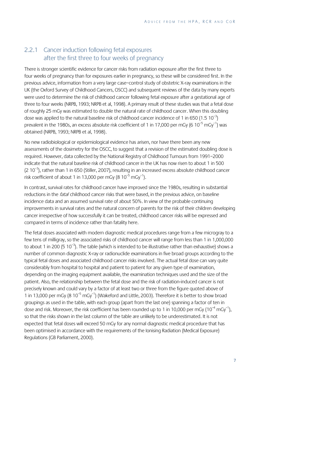### 2.2.1 Cancer induction following fetal exposures after the first three to four weeks of pregnancy

There is stronger scientific evidence for cancer risks from radiation exposure after the first three to four weeks of pregnancy than for exposures earlier in pregnancy, so these will be considered first. In the previous advice, information from a very large case–control study of obstetric X-ray examinations in the UK (the Oxford Survey of Childhood Cancers, OSCC) and subsequent reviews of the data by many experts were used to determine the risk of childhood cancer following fetal exposure after a gestational age of three to four weeks (NRPB, 1993; NRPB et al, 1998). A primary result of these studies was that a fetal dose of roughly 25 mGy was estimated to double the natural rate of childhood cancer. When this doubling dose was applied to the natural baseline risk of childhood cancer incidence of 1 in 650 (1.5  $10^{-3}$ ) prevalent in the 1980s, an excess absolute risk coefficient of 1 in 17,000 per mGy (6 10<sup>-5</sup> mGv<sup>-1</sup>) was obtained (NRPB, 1993; NRPB et al, 1998).

No new radiobiological or epidemiological evidence has arisen, nor have there been any new assessments of the dosimetry for the OSCC, to suggest that a revision of the estimated doubling dose is required. However, data collected by the National Registry of Childhood Tumours from 1991–2000 indicate that the natural baseline risk of childhood cancer in the UK has now risen to about 1 in 500  $(2\ 10^{-3})$ , rather than 1 in 650 (Stiller, 2007), resulting in an increased excess absolute childhood cancer risk coefficient of about 1 in 13,000 per mGy  $(8\ 10^{-5}\ \text{mGy}^{-1})$ .

In contrast, survival rates for childhood cancer have improved since the 1980s, resulting in substantial reductions in the *fatal* childhood cancer risks that were based, in the previous advice, on baseline incidence data and an assumed survival rate of about 50%. In view of the probable continuing improvements in survival rates and the natural concern of parents for the risk of their children developing cancer irrespective of how successfully it can be treated, childhood cancer risks will be expressed and compared in terms of incidence rather than fatality here.

The fetal doses associated with modern diagnostic medical procedures range from a few microgray to a few tens of milligray, so the associated risks of childhood cancer will range from less than 1 in 1,000,000 to about 1 in 200 (5  $10^{-3}$ ). The table (which is intended to be illustrative rather than exhaustive) shows a number of common diagnostic X-ray or radionuclide examinations in five broad groups according to the typical fetal doses and associated childhood cancer risks involved. The actual fetal dose can vary quite considerably from hospital to hospital and patient to patient for any given type of examination, depending on the imaging equipment available, the examination techniques used and the size of the patient. Also, the relationship between the fetal dose and the risk of radiation-induced cancer is not precisely known and could vary by a factor of at least two or three from the figure quoted above of 1 in 13,000 per mGy (8  $10^{-5}$  mGy<sup>-1</sup>) (Wakeford and Little, 2003). Therefore it is better to show broad groupings as used in the table, with each group (apart from the last one) spanning a factor of ten in dose and risk. Moreover, the risk coefficient has been rounded up to 1 in 10,000 per mGy  $(10^{-4} \text{ mGy}^{-1})$ , so that the risks shown in the last column of the table are unlikely to be underestimated. It is not expected that fetal doses will exceed 50 mGy for any normal diagnostic medical procedure that has been optimised in accordance with the requirements of the Ionising Radiation (Medical Exposure) Regulations (GB Parliament, 2000).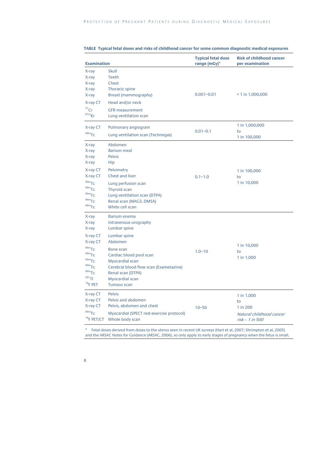| <b>Examination</b>                                                                                                                       |                                                                                                                                                                                                                                                     | <b>Typical fetal dose</b><br>range (mGy)* | <b>Risk of childhood cancer</b><br>per examination                          |
|------------------------------------------------------------------------------------------------------------------------------------------|-----------------------------------------------------------------------------------------------------------------------------------------------------------------------------------------------------------------------------------------------------|-------------------------------------------|-----------------------------------------------------------------------------|
| X-ray<br>X-ray<br>X-ray<br>X-ray<br>X-ray<br>X-ray CT<br>$51$ Cr<br>$81m$ <sub>Kr</sub>                                                  | Skull<br><b>Teeth</b><br>Chest<br>Thoracic spine<br>Breast (mammography)<br>Head and/or neck<br><b>GFR</b> measurement<br>Lung ventilation scan                                                                                                     | $0.001 - 0.01$                            | $<$ 1 in 1,000,000                                                          |
| X-ray CT<br>$99m$ TC                                                                                                                     | Pulmonary angiogram<br>Lung ventilation scan (Technegas)                                                                                                                                                                                            | $0.01 - 0.1$                              | 1 in 1,000,000<br>to<br>1 in 100,000                                        |
| X-ray<br>X-ray<br>X-ray<br>X-ray<br>X-ray CT<br>X-ray CT<br>$99m$ TC<br>$99m$ TC<br>$99m$ TC<br>$99m$ TC<br>$99m$ TC                     | Abdomen<br><b>Barium</b> meal<br><b>Pelvis</b><br>Hip<br>Pelvimetry<br>Chest and liver<br>Lung perfusion scan<br>Thyroid scan<br>Lung ventilation scan (DTPA)<br>Renal scan (MAG3, DMSA)<br>White cell scan                                         | $0.1 - 1.0$                               | 1 in 100,000<br>to<br>1 in 10,000                                           |
| X-ray<br>X-ray<br>X-ray<br>X-ray CT<br>X-ray CT<br>$99m$ TC<br>$99m$ TC<br>$99m$ TC<br>$99m$ TC<br>$99m$ TC<br>$^{201}$ TI<br>$18$ F PET | Barium enema<br>Intravenous urography<br>Lumbar spine<br>Lumbar spine<br>Abdomen<br>Bone scan<br>Cardiac blood pool scan<br>Myocardial scan<br>Cerebral blood flow scan (Exametazine)<br>Renal scan (DTPA)<br>Myocardial scan<br><b>Tumour scan</b> | $1.0 - 10$                                | 1 in 10,000<br>to<br>1 in 1,000                                             |
| X-ray CT<br>X-ray CT<br>X-ray CT<br>$99m$ TC<br><sup>18</sup> F PET/CT                                                                   | <b>Pelvis</b><br>Pelvis and abdomen<br>Pelvis, abdomen and chest<br>Myocardial (SPECT rest-exercise protocol)<br>Whole body scan                                                                                                                    | $10 - 50$                                 | 1 in 1,000<br>to<br>1 in 200<br>Natural childhood cancer<br>risk ~ 1 in 500 |

#### **TABLE Typical fetal doses and risks of childhood cancer for some common diagnostic medical exposures**

\* Fetal doses derived from doses to the uterus seen in recent UK surveys (Hart et al, 2007; Shrimpton et al, 2005) and the ARSAC Notes for Guidance (ARSAC, 2006), so only apply to early stages of pregnancy when the fetus is small.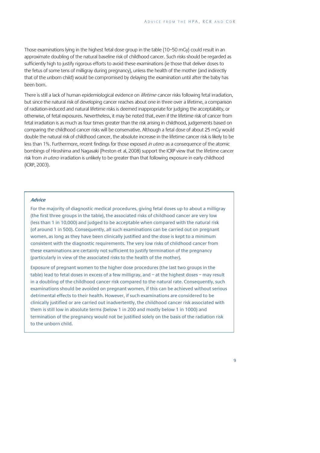Those examinations lying in the highest fetal dose group in the table (10–50 mGy) could result in an approximate doubling of the natural baseline risk of childhood cancer. Such risks should be regarded as sufficiently high to justify rigorous efforts to avoid these examinations (ie those that deliver doses to the fetus of some tens of milligray during pregnancy), unless the health of the mother (and indirectly that of the unborn child) would be compromised by delaying the examination until after the baby has been born.

There is still a lack of human epidemiological evidence on *lifetime* cancer risks following fetal irradiation, but since the natural risk of developing cancer reaches about one in three over a lifetime, a comparison of radiation-induced and natural lifetime risks is deemed inappropriate for judging the acceptability, or otherwise, of fetal exposures. Nevertheless, it may be noted that, even if the lifetime risk of cancer from fetal irradiation is as much as four times greater than the risk arising in childhood, judgements based on comparing the childhood cancer risks will be conservative. Although a fetal dose of about 25 mGy would double the natural risk of childhood cancer, the absolute increase in the lifetime cancer risk is likely to be less than 1%. Furthermore, recent findings for those exposed in utero as a consequence of the atomic bombings of Hiroshima and Nagasaki (Preston et al, 2008) support the ICRP view that the lifetime cancer risk from *in utero* irradiation is unlikely to be greater than that following exposure in early childhood (ICRP, 2003).

#### **Advice**

For the majority of diagnostic medical procedures, giving fetal doses up to about a milligray (the first three groups in the table), the associated risks of childhood cancer are very low (less than 1 in 10,000) and judged to be acceptable when compared with the natural risk (of around 1 in 500). Consequently, all such examinations can be carried out on pregnant women, as long as they have been clinically justified and the dose is kept to a minimum consistent with the diagnostic requirements. The very low risks of childhood cancer from these examinations are certainly not sufficient to justify termination of the pregnancy (particularly in view of the associated risks to the health of the mother).

Exposure of pregnant women to the higher dose procedures (the last two groups in the table) lead to fetal doses in excess of a few milligray, and – at the highest doses – may result in a doubling of the childhood cancer risk compared to the natural rate. Consequently, such examinations should be avoided on pregnant women, if this can be achieved without serious detrimental effects to their health. However, if such examinations are considered to be clinically justified or are carried out inadvertently, the childhood cancer risk associated with them is still low in absolute terms (below 1 in 200 and mostly below 1 in 1000) and termination of the pregnancy would not be justified solely on the basis of the radiation risk to the unborn child.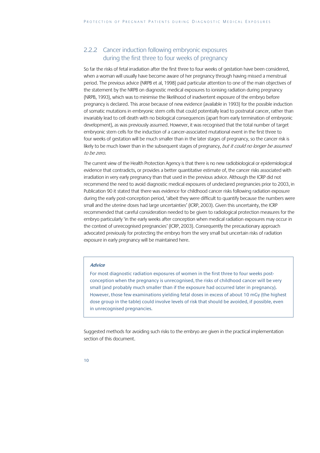### 2.2.2 Cancer induction following embryonic exposures during the first three to four weeks of pregnancy

So far the risks of fetal irradiation after the first three to four weeks of gestation have been considered, when a woman will usually have become aware of her pregnancy through having missed a menstrual period. The previous advice (NRPB et al, 1998) paid particular attention to one of the main objectives of the statement by the NRPB on diagnostic medical exposures to ionising radiation during pregnancy (NRPB, 1993), which was to minimise the likelihood of inadvertent exposure of the embryo before pregnancy is declared. This arose because of new evidence (available in 1993) for the possible induction of somatic mutations in embryonic stem cells that could potentially lead to postnatal cancer, rather than invariably lead to cell death with no biological consequences (apart from early termination of embryonic development), as was previously assumed. However, it was recognised that the total number of target embryonic stem cells for the induction of a cancer-associated mutational event in the first three to four weeks of gestation will be much smaller than in the later stages of pregnancy, so the cancer risk is likely to be much lower than in the subsequent stages of pregnancy, but it could no longer be assumed to be zero.

The current view of the Health Protection Agency is that there is no new radiobiological or epidemiological evidence that contradicts, or provides a better quantitative estimate of, the cancer risks associated with irradiation in very early pregnancy than that used in the previous advice. Although the ICRP did not recommend the need to avoid diagnostic medical exposures of undeclared pregnancies prior to 2003, in Publication 90 it stated that there was evidence for childhood cancer risks following radiation exposure during the early post-conception period, 'albeit they were difficult to quantify because the numbers were small and the uterine doses had large uncertainties' (ICRP, 2003). Given this uncertainty, the ICRP recommended that careful consideration needed to be given to radiological protection measures for the embryo particularly 'in the early weeks after conception when medical radiation exposures may occur in the context of unrecognised pregnancies' (ICRP, 2003). Consequently the precautionary approach advocated previously for protecting the embryo from the very small but uncertain risks of radiation exposure in early pregnancy will be maintained here.

### **Advice**

For most diagnostic radiation exposures of women in the first three to four weeks postconception when the pregnancy is unrecognised, the risks of childhood cancer will be very small (and probably much smaller than if the exposure had occurred later in pregnancy). However, those few examinations yielding fetal doses in excess of about 10 mGy (the highest dose group in the table) could involve levels of risk that should be avoided, if possible, even in unrecognised pregnancies.

Suggested methods for avoiding such risks to the embryo are given in the practical implementation section of this document.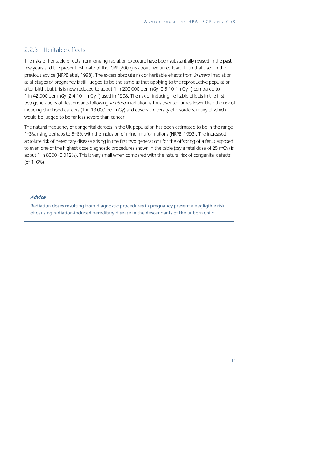### 2.2.3 Heritable effects

The risks of heritable effects from ionising radiation exposure have been substantially revised in the past few years and the present estimate of the ICRP (2007) is about five times lower than that used in the previous advice (NRPB et al, 1998). The excess absolute risk of heritable effects from in utero irradiation at all stages of pregnancy is still judged to be the same as that applying to the reproductive population after birth, but this is now reduced to about 1 in 200,000 per mGy (0.5  $10^{-5}$  mGy<sup>-1</sup>) compared to 1 in 42,000 per mGy  $(2.4 \times 10^{-5} \text{ mGy}^{-1})$  used in 1998. The risk of inducing heritable effects in the first two generations of descendants following in utero irradiation is thus over ten times lower than the risk of inducing childhood cancers (1 in 13,000 per mGy) and covers a diversity of disorders, many of which would be judged to be far less severe than cancer.

The natural frequency of congenital defects in the UK population has been estimated to be in the range 1–3%, rising perhaps to 5–6% with the inclusion of minor malformations (NRPB, 1993). The increased absolute risk of hereditary disease arising in the first two generations for the offspring of a fetus exposed to even one of the highest dose diagnostic procedures shown in the table (say a fetal dose of 25 mGy) is about 1 in 8000 (0.012%). This is very small when compared with the natural risk of congenital defects (of 1–6%).

#### **Advice**

Radiation doses resulting from diagnostic procedures in pregnancy present a negligible risk of causing radiation-induced hereditary disease in the descendants of the unborn child.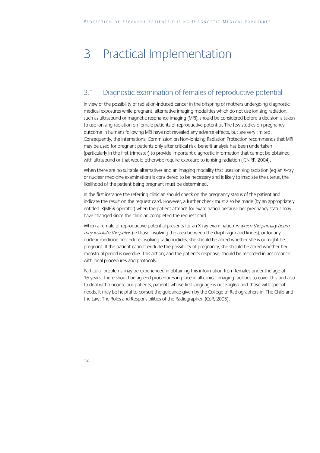# 3 Practical Implementation

## 3.1 Diagnostic examination of females of reproductive potential

In view of the possibility of radiation-induced cancer in the offspring of mothers undergoing diagnostic medical exposures while pregnant, alternative imaging modalities which do not use ionising radiation, such as ultrasound or magnetic resonance imaging (MRI), should be considered before a decision is taken to use ionising radiation on female patients of reproductive potential. The few studies on pregnancy outcome in humans following MRI have not revealed any adverse effects, but are very limited. Consequently, the International Commission on Non-Ionizing Radiation Protection recommends that MRI may be used for pregnant patients only after critical risk–benefit analysis has been undertaken (particularly in the first trimester) to provide important diagnostic information that cannot be obtained with ultrasound or that would otherwise require exposure to ionising radiation (ICNIRP, 2004).

When there are no suitable alternatives and an imaging modality that uses ionising radiation (eg an X-ray or nuclear medicine examination) is considered to be necessary and is likely to irradiate the uterus, the likelihood of the patient being pregnant must be determined.

In the first instance the referring clinician should check on the pregnancy status of the patient and indicate the result on the request card. However, a further check must also be made (by an appropriately entitled IR(ME)R operator) when the patient attends for examination because her pregnancy status may have changed since the clinician completed the request card.

When a female of reproductive potential presents for an X-ray examination in which the primary beam may irradiate the pelvis (ie those involving the area between the diaphragm and knees), or for any nuclear medicine procedure involving radionuclides, she should be asked whether she is or might be pregnant. If the patient cannot exclude the possibility of pregnancy, she should be asked whether her menstrual period is overdue. This action, and the patient's response, should be recorded in accordance with local procedures and protocols.

Particular problems may be experienced in obtaining this information from females under the age of 16 years. There should be agreed procedures in place in all clinical imaging facilities to cover this and also to deal with unconscious patients, patients whose first language is not English and those with special needs. It may be helpful to consult the guidance given by the College of Radiographers in 'The Child and the Law: The Roles and Responsibilities of the Radiographer' (CoR, 2005).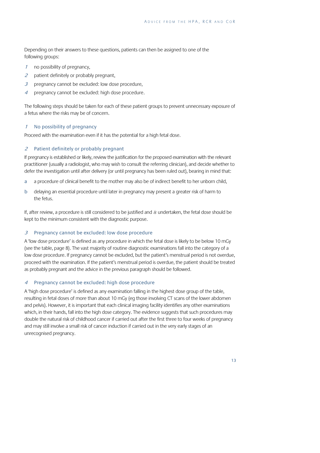Depending on their answers to these questions, patients can then be assigned to one of the following groups:

- <sup>1</sup> no possibility of pregnancy,
- 2 patient definitely or probably pregnant,
- $3$  pregnancy cannot be excluded: low dose procedure,
- <sup>4</sup> pregnancy cannot be excluded: high dose procedure.

The following steps should be taken for each of these patient groups to prevent unnecessary exposure of a fetus where the risks may be of concern.

### <sup>1</sup> No possibility of pregnancy

Proceed with the examination even if it has the potential for a high fetal dose.

#### <sup>2</sup> Patient definitely or probably pregnant

If pregnancy is established or likely, review the justification for the proposed examination with the relevant practitioner (usually a radiologist, who may wish to consult the referring clinician), and decide whether to defer the investigation until after delivery (or until pregnancy has been ruled out), bearing in mind that:

- a a procedure of clinical benefit to the mother may also be of indirect benefit to her unborn child,
- b delaying an essential procedure until later in pregnancy may present a greater risk of harm to the fetus.

If, after review, a procedure is still considered to be justified and is undertaken, the fetal dose should be kept to the minimum consistent with the diagnostic purpose.

#### 3 Pregnancy cannot be excluded: low dose procedure

A 'low dose procedure' is defined as any procedure in which the fetal dose is likely to be below 10 mGy (see the table, page 8). The vast majority of routine diagnostic examinations fall into the category of a low dose procedure. If pregnancy cannot be excluded, but the patient's menstrual period is not overdue, proceed with the examination. If the patient's menstrual period is overdue, the patient should be treated as probably pregnant and the advice in the previous paragraph should be followed.

#### <sup>4</sup> Pregnancy cannot be excluded: high dose procedure

A 'high dose procedure' is defined as any examination falling in the highest dose group of the table, resulting in fetal doses of more than about 10 mGy (eg those involving CT scans of the lower abdomen and pelvis). However, it is important that each clinical imaging facility identifies any other examinations which, in their hands, fall into the high dose category. The evidence suggests that such procedures may double the natural risk of childhood cancer if carried out after the first three to four weeks of pregnancy and may still involve a small risk of cancer induction if carried out in the very early stages of an unrecognised pregnancy.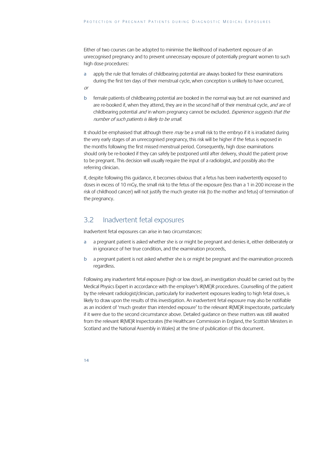Either of two courses can be adopted to minimise the likelihood of inadvertent exposure of an unrecognised pregnancy and to prevent unnecessary exposure of potentially pregnant women to such high dose procedures:

- a apply the rule that females of childbearing potential are always booked for these examinations during the first ten days of their menstrual cycle, when conception is unlikely to have occurred, or
- b female patients of childbearing potential are booked in the normal way but are not examined and are re-booked if, when they attend, they are in the second half of their menstrual cycle, and are of childbearing potential and in whom pregnancy cannot be excluded. Experience suggests that the number of such patients is likely to be small.

It should be emphasised that although there  $may$  be a small risk to the embryo if it is irradiated during the very early stages of an unrecognised pregnancy, this risk will be higher if the fetus is exposed in the months following the first missed menstrual period. Consequently, high dose examinations should only be re-booked if they can safely be postponed until after delivery, should the patient prove to be pregnant. This decision will usually require the input of a radiologist, and possibly also the referring clinician.

If, despite following this guidance, it becomes obvious that a fetus has been inadvertently exposed to doses in excess of 10 mGy, the small risk to the fetus of the exposure (less than a 1 in 200 increase in the risk of childhood cancer) will not justify the much greater risk (to the mother and fetus) of termination of the pregnancy.

## 3.2 Inadvertent fetal exposures

Inadvertent fetal exposures can arise in two circumstances:

- a a pregnant patient is asked whether she is or might be pregnant and denies it, either deliberately or in ignorance of her true condition, and the examination proceeds,
- b a pregnant patient is not asked whether she is or might be pregnant and the examination proceeds regardless.

Following any inadvertent fetal exposure (high or low dose), an investigation should be carried out by the Medical Physics Expert in accordance with the employer's IR(ME)R procedures. Counselling of the patient by the relevant radiologist/clinician, particularly for inadvertent exposures leading to high fetal doses, is likely to draw upon the results of this investigation. An inadvertent fetal exposure may also be notifiable as an incident of 'much greater than intended exposure' to the relevant IR(ME)R Inspectorate, particularly if it were due to the second circumstance above. Detailed guidance on these matters was still awaited from the relevant IR(ME)R Inspectorates (the Healthcare Commission in England, the Scottish Ministers in Scotland and the National Assembly in Wales) at the time of publication of this document.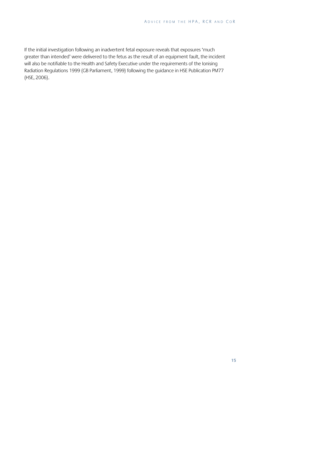If the initial investigation following an inadvertent fetal exposure reveals that exposures 'much greater than intended' were delivered to the fetus as the result of an equipment fault, the incident will also be notifiable to the Health and Safety Executive under the requirements of the Ionising Radiation Regulations 1999 (GB Parliament, 1999) following the guidance in HSE Publication PM77 (HSE, 2006).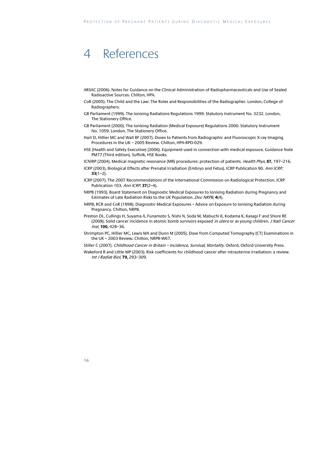## 4 References

- ARSAC (2006). Notes for Guidance on the Clinical Administration of Radiopharmaceuticals and Use of Sealed Radioactive Sources. Chilton, HPA.
- CoR (2005). The Child and the Law: The Roles and Responsibilities of the Radiographer. London, College of Radiographers.
- GB Parliament (1999). The Ionising Radiations Regulations 1999. Statutory Instrument No. 3232. London, The Stationery Office.
- GB Parliament (2000). The Ionising Radiation (Medical Exposure) Regulations 2000. Statutory Instrument No. 1059. London, The Stationery Office.
- Hart D, Hillier MC and Wall BF (2007). Doses to Patients from Radiographic and Fluoroscopic X-ray Imaging Procedures in the UK – 2005 Review. Chilton, HPA-RPD-029.
- HSE (Health and Safety Executive) (2006). Equipment used in connection with medical exposure. Guidance Note PM77 (Third edition). Suffolk, HSE Books.
- ICNIRP (2004). Medical magnetic resonance (MR) procedures: protection of patients. Health Phys, **87,** 197–216.
- ICRP (2003). Biological Effects after Prenatal Irradiation (Embryo and Fetus). ICRP Publication 90. Ann ICRP, **33**(1–2).
- ICRP (2007). The 2007 Recommendations of the International Commission on Radiological Protection. ICRP Publication 103. Ann ICRP, **37**(2–4).
- NRPB (1993). Board Statement on Diagnostic Medical Exposures to Ionising Radiation during Pregnancy and Estimates of Late Radiation Risks to the UK Population. Doc NRPB, **4**(4).
- NRPB, RCR and CoR (1998). Diagnostic Medical Exposures Advice on Exposure to Ionising Radiation during Pregnancy. Chilton, NRPB.
- Preston DL, Cullings H, Suyama A, Funamoto S, Nishi N, Soda M, Mabuchi K, Kodama K, Kasagi F and Shore RE (2008). Solid cancer incidence in atomic bomb survivors exposed *in utero* or as young children. *J Natl Cancer* Inst, **100,** 428–36.
- Shrimpton PC, Hillier MC, Lewis MA and Dunn M (2005). Dose from Computed Tomography (CT) Examinations in the UK – 2003 Review. Chilton, NRPB-W67.
- Stiller C (2007). Childhood Cancer in Britain Incidence, Survival, Mortality. Oxford, Oxford University Press.
- Wakeford R and Little MP (2003). Risk coefficients for childhood cancer after intrauterine irradiation: a review. Int J Radiat Biol, **79,** 293–309.